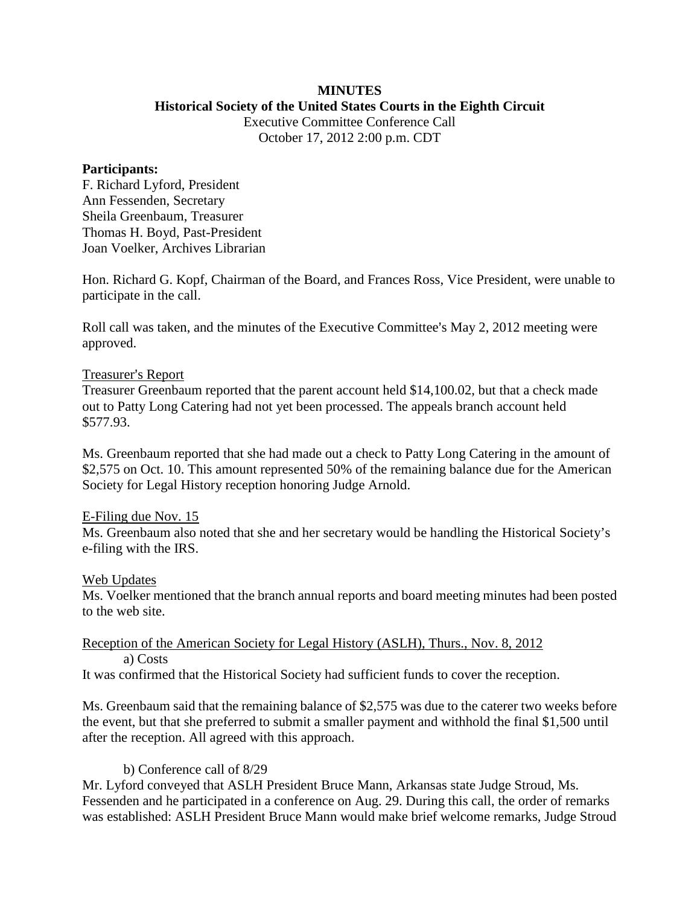# **MINUTES**

### **Historical Society of the United States Courts in the Eighth Circuit**

Executive Committee Conference Call October 17, 2012 2:00 p.m. CDT

### **Participants:**

F. Richard Lyford, President Ann Fessenden, Secretary Sheila Greenbaum, Treasurer Thomas H. Boyd, Past-President Joan Voelker, Archives Librarian

Hon. Richard G. Kopf, Chairman of the Board, and Frances Ross, Vice President, were unable to participate in the call.

Roll call was taken, and the minutes of the Executive Committee's May 2, 2012 meeting were approved.

## Treasurer's Report

Treasurer Greenbaum reported that the parent account held \$14,100.02, but that a check made out to Patty Long Catering had not yet been processed. The appeals branch account held \$577.93.

Ms. Greenbaum reported that she had made out a check to Patty Long Catering in the amount of \$2,575 on Oct. 10. This amount represented 50% of the remaining balance due for the American Society for Legal History reception honoring Judge Arnold.

## E-Filing due Nov. 15

Ms. Greenbaum also noted that she and her secretary would be handling the Historical Society's e-filing with the IRS.

#### Web Updates

Ms. Voelker mentioned that the branch annual reports and board meeting minutes had been posted to the web site.

#### Reception of the American Society for Legal History (ASLH), Thurs., Nov. 8, 2012 a) Costs

It was confirmed that the Historical Society had sufficient funds to cover the reception.

Ms. Greenbaum said that the remaining balance of \$2,575 was due to the caterer two weeks before the event, but that she preferred to submit a smaller payment and withhold the final \$1,500 until after the reception. All agreed with this approach.

## b) Conference call of 8/29

Mr. Lyford conveyed that ASLH President Bruce Mann, Arkansas state Judge Stroud, Ms. Fessenden and he participated in a conference on Aug. 29. During this call, the order of remarks was established: ASLH President Bruce Mann would make brief welcome remarks, Judge Stroud